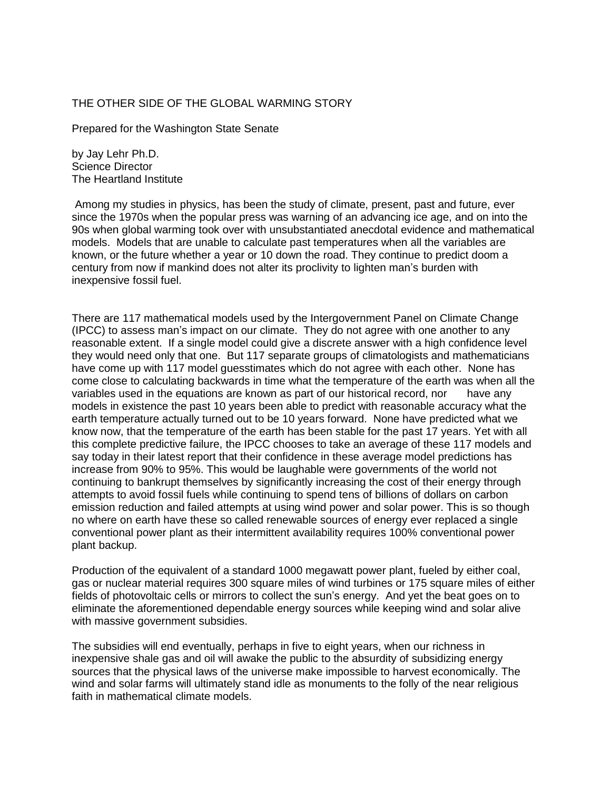## THE OTHER SIDE OF THE GLOBAL WARMING STORY

Prepared for the Washington State Senate

by Jay Lehr Ph.D. Science Director The Heartland Institute

Among my studies in physics, has been the study of climate, present, past and future, ever since the 1970s when the popular press was warning of an advancing ice age, and on into the 90s when global warming took over with unsubstantiated anecdotal evidence and mathematical models. Models that are unable to calculate past temperatures when all the variables are known, or the future whether a year or 10 down the road. They continue to predict doom a century from now if mankind does not alter its proclivity to lighten man's burden with inexpensive fossil fuel.

There are 117 mathematical models used by the Intergovernment Panel on Climate Change (IPCC) to assess man's impact on our climate. They do not agree with one another to any reasonable extent. If a single model could give a discrete answer with a high confidence level they would need only that one. But 117 separate groups of climatologists and mathematicians have come up with 117 model guesstimates which do not agree with each other. None has come close to calculating backwards in time what the temperature of the earth was when all the variables used in the equations are known as part of our historical record, nor have any models in existence the past 10 years been able to predict with reasonable accuracy what the earth temperature actually turned out to be 10 years forward. None have predicted what we know now, that the temperature of the earth has been stable for the past 17 years. Yet with all this complete predictive failure, the IPCC chooses to take an average of these 117 models and say today in their latest report that their confidence in these average model predictions has increase from 90% to 95%. This would be laughable were governments of the world not continuing to bankrupt themselves by significantly increasing the cost of their energy through attempts to avoid fossil fuels while continuing to spend tens of billions of dollars on carbon emission reduction and failed attempts at using wind power and solar power. This is so though no where on earth have these so called renewable sources of energy ever replaced a single conventional power plant as their intermittent availability requires 100% conventional power plant backup.

Production of the equivalent of a standard 1000 megawatt power plant, fueled by either coal, gas or nuclear material requires 300 square miles of wind turbines or 175 square miles of either fields of photovoltaic cells or mirrors to collect the sun's energy. And yet the beat goes on to eliminate the aforementioned dependable energy sources while keeping wind and solar alive with massive government subsidies.

The subsidies will end eventually, perhaps in five to eight years, when our richness in inexpensive shale gas and oil will awake the public to the absurdity of subsidizing energy sources that the physical laws of the universe make impossible to harvest economically. The wind and solar farms will ultimately stand idle as monuments to the folly of the near religious faith in mathematical climate models.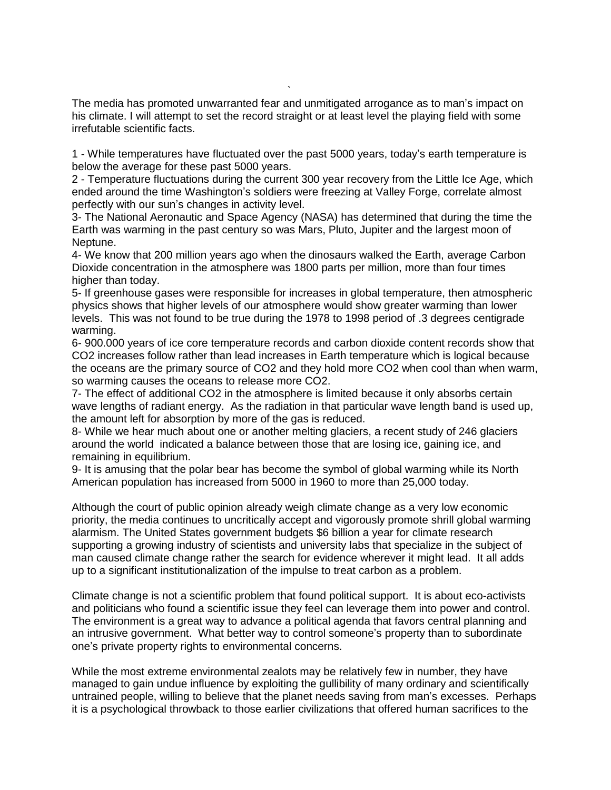The media has promoted unwarranted fear and unmitigated arrogance as to man's impact on his climate. I will attempt to set the record straight or at least level the playing field with some irrefutable scientific facts.

`

1 - While temperatures have fluctuated over the past 5000 years, today's earth temperature is below the average for these past 5000 years.

2 - Temperature fluctuations during the current 300 year recovery from the Little Ice Age, which ended around the time Washington's soldiers were freezing at Valley Forge, correlate almost perfectly with our sun's changes in activity level.

3- The National Aeronautic and Space Agency (NASA) has determined that during the time the Earth was warming in the past century so was Mars, Pluto, Jupiter and the largest moon of Neptune.

4- We know that 200 million years ago when the dinosaurs walked the Earth, average Carbon Dioxide concentration in the atmosphere was 1800 parts per million, more than four times higher than today.

5- If greenhouse gases were responsible for increases in global temperature, then atmospheric physics shows that higher levels of our atmosphere would show greater warming than lower levels. This was not found to be true during the 1978 to 1998 period of .3 degrees centigrade warming.

6- 900.000 years of ice core temperature records and carbon dioxide content records show that CO2 increases follow rather than lead increases in Earth temperature which is logical because the oceans are the primary source of CO2 and they hold more CO2 when cool than when warm, so warming causes the oceans to release more CO2.

7- The effect of additional CO2 in the atmosphere is limited because it only absorbs certain wave lengths of radiant energy. As the radiation in that particular wave length band is used up, the amount left for absorption by more of the gas is reduced.

8- While we hear much about one or another melting glaciers, a recent study of 246 glaciers around the world indicated a balance between those that are losing ice, gaining ice, and remaining in equilibrium.

9- It is amusing that the polar bear has become the symbol of global warming while its North American population has increased from 5000 in 1960 to more than 25,000 today.

Although the court of public opinion already weigh climate change as a very low economic priority, the media continues to uncritically accept and vigorously promote shrill global warming alarmism. The United States government budgets \$6 billion a year for climate research supporting a growing industry of scientists and university labs that specialize in the subject of man caused climate change rather the search for evidence wherever it might lead. It all adds up to a significant institutionalization of the impulse to treat carbon as a problem.

Climate change is not a scientific problem that found political support. It is about eco-activists and politicians who found a scientific issue they feel can leverage them into power and control. The environment is a great way to advance a political agenda that favors central planning and an intrusive government. What better way to control someone's property than to subordinate one's private property rights to environmental concerns.

While the most extreme environmental zealots may be relatively few in number, they have managed to gain undue influence by exploiting the gullibility of many ordinary and scientifically untrained people, willing to believe that the planet needs saving from man's excesses. Perhaps it is a psychological throwback to those earlier civilizations that offered human sacrifices to the